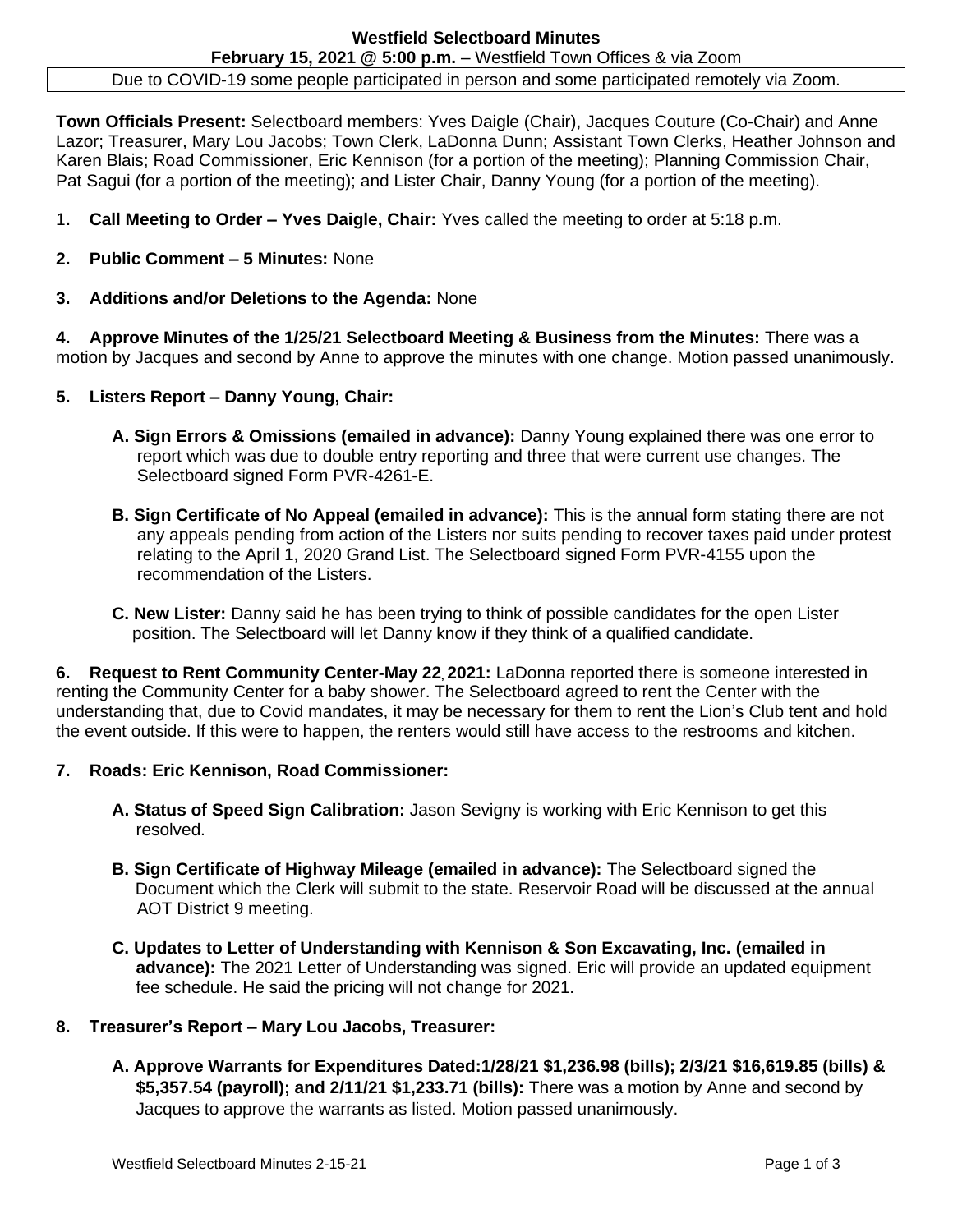Due to COVID-19 some people participated in person and some participated remotely via Zoom.

**Town Officials Present:** Selectboard members: Yves Daigle (Chair), Jacques Couture (Co-Chair) and Anne Lazor; Treasurer, Mary Lou Jacobs; Town Clerk, LaDonna Dunn; Assistant Town Clerks, Heather Johnson and Karen Blais; Road Commissioner, Eric Kennison (for a portion of the meeting); Planning Commission Chair, Pat Sagui (for a portion of the meeting); and Lister Chair, Danny Young (for a portion of the meeting).

- 1**. Call Meeting to Order – Yves Daigle, Chair:** Yves called the meeting to order at 5:18 p.m.
- **2. Public Comment – 5 Minutes:** None
- **3. Additions and/or Deletions to the Agenda:** None

**4. Approve Minutes of the 1/25/21 Selectboard Meeting & Business from the Minutes:** There was a motion by Jacques and second by Anne to approve the minutes with one change. Motion passed unanimously.

- **5. Listers Report – Danny Young, Chair:** 
	- **A. Sign Errors & Omissions (emailed in advance):** Danny Young explained there was one error to report which was due to double entry reporting and three that were current use changes. The Selectboard signed Form PVR-4261-E.
	- **B. Sign Certificate of No Appeal (emailed in advance):** This is the annual form stating there are not any appeals pending from action of the Listers nor suits pending to recover taxes paid under protest relating to the April 1, 2020 Grand List. The Selectboard signed Form PVR-4155 upon the recommendation of the Listers.
	- **C. New Lister:** Danny said he has been trying to think of possible candidates for the open Lister position. The Selectboard will let Danny know if they think of a qualified candidate.

**6. Request to Rent Community Center-May 22, 2021:** LaDonna reported there is someone interested in renting the Community Center for a baby shower. The Selectboard agreed to rent the Center with the understanding that, due to Covid mandates, it may be necessary for them to rent the Lion's Club tent and hold the event outside. If this were to happen, the renters would still have access to the restrooms and kitchen.

## **7. Roads: Eric Kennison, Road Commissioner:**

- **A. Status of Speed Sign Calibration:** Jason Sevigny is working with Eric Kennison to get this resolved.
- **B. Sign Certificate of Highway Mileage (emailed in advance):** The Selectboard signed the Document which the Clerk will submit to the state. Reservoir Road will be discussed at the annual AOT District 9 meeting.
- **C. Updates to Letter of Understanding with Kennison & Son Excavating, Inc. (emailed in advance):** The 2021 Letter of Understanding was signed. Eric will provide an updated equipment fee schedule. He said the pricing will not change for 2021.

## **8. Treasurer's Report – Mary Lou Jacobs, Treasurer:**

**A. Approve Warrants for Expenditures Dated:1/28/21 \$1,236.98 (bills); 2/3/21 \$16,619.85 (bills) & \$5,357.54 (payroll); and 2/11/21 \$1,233.71 (bills):** There was a motion by Anne and second by Jacques to approve the warrants as listed. Motion passed unanimously.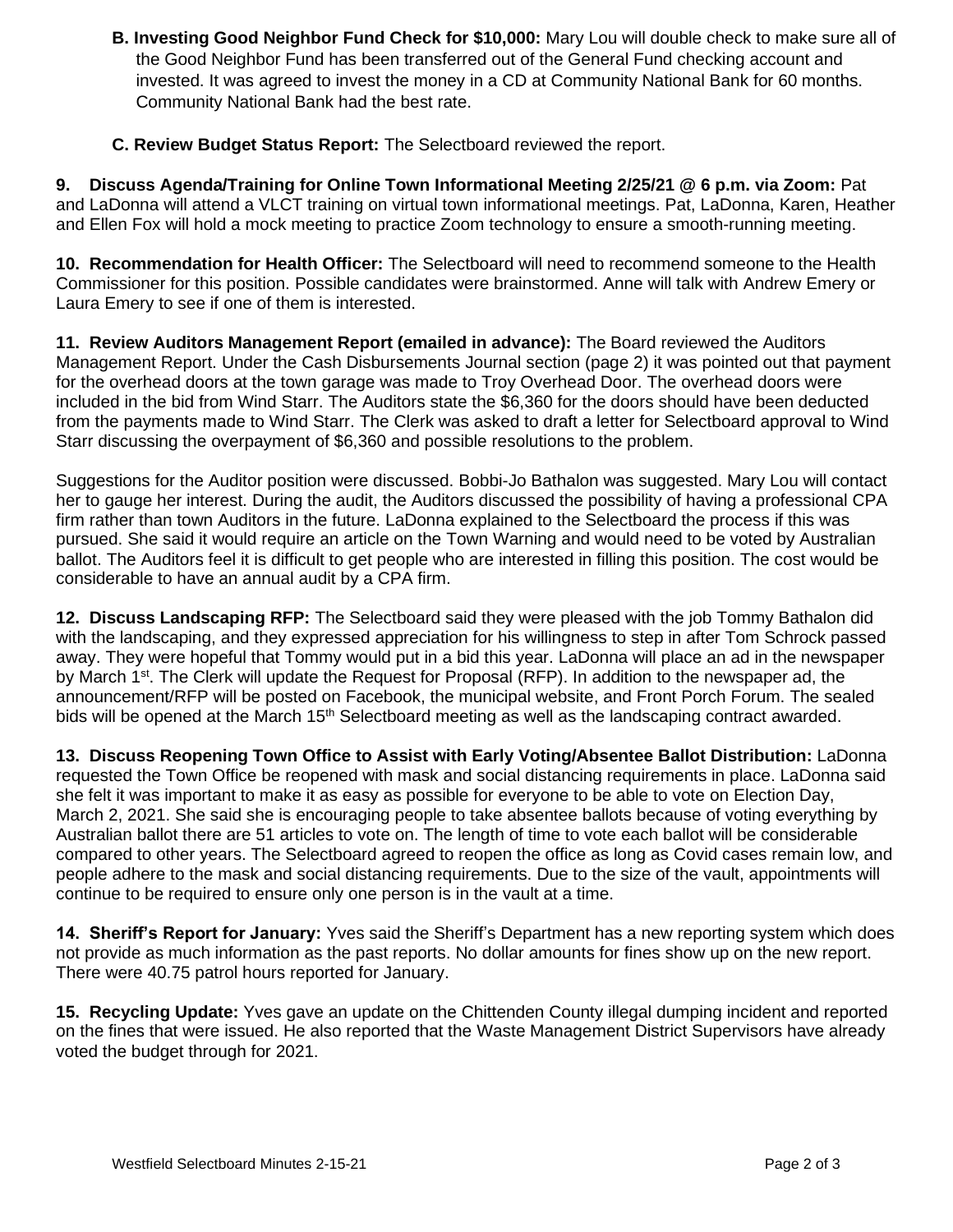- **B. Investing Good Neighbor Fund Check for \$10,000:** Mary Lou will double check to make sure all of the Good Neighbor Fund has been transferred out of the General Fund checking account and invested. It was agreed to invest the money in a CD at Community National Bank for 60 months. Community National Bank had the best rate.
- **C. Review Budget Status Report:** The Selectboard reviewed the report.

**9. Discuss Agenda/Training for Online Town Informational Meeting 2/25/21 @ 6 p.m. via Zoom:** Pat and LaDonna will attend a VLCT training on virtual town informational meetings. Pat, LaDonna, Karen, Heather and Ellen Fox will hold a mock meeting to practice Zoom technology to ensure a smooth-running meeting.

**10. Recommendation for Health Officer:** The Selectboard will need to recommend someone to the Health Commissioner for this position. Possible candidates were brainstormed. Anne will talk with Andrew Emery or Laura Emery to see if one of them is interested.

**11. Review Auditors Management Report (emailed in advance):** The Board reviewed the Auditors Management Report. Under the Cash Disbursements Journal section (page 2) it was pointed out that payment for the overhead doors at the town garage was made to Troy Overhead Door. The overhead doors were included in the bid from Wind Starr. The Auditors state the \$6,360 for the doors should have been deducted from the payments made to Wind Starr. The Clerk was asked to draft a letter for Selectboard approval to Wind Starr discussing the overpayment of \$6,360 and possible resolutions to the problem.

Suggestions for the Auditor position were discussed. Bobbi-Jo Bathalon was suggested. Mary Lou will contact her to gauge her interest. During the audit, the Auditors discussed the possibility of having a professional CPA firm rather than town Auditors in the future. LaDonna explained to the Selectboard the process if this was pursued. She said it would require an article on the Town Warning and would need to be voted by Australian ballot. The Auditors feel it is difficult to get people who are interested in filling this position. The cost would be considerable to have an annual audit by a CPA firm.

**12. Discuss Landscaping RFP:** The Selectboard said they were pleased with the job Tommy Bathalon did with the landscaping, and they expressed appreciation for his willingness to step in after Tom Schrock passed away. They were hopeful that Tommy would put in a bid this year. LaDonna will place an ad in the newspaper by March 1<sup>st</sup>. The Clerk will update the Request for Proposal (RFP). In addition to the newspaper ad, the announcement/RFP will be posted on Facebook, the municipal website, and Front Porch Forum. The sealed bids will be opened at the March 15<sup>th</sup> Selectboard meeting as well as the landscaping contract awarded.

**13. Discuss Reopening Town Office to Assist with Early Voting/Absentee Ballot Distribution:** LaDonna requested the Town Office be reopened with mask and social distancing requirements in place. LaDonna said she felt it was important to make it as easy as possible for everyone to be able to vote on Election Day, March 2, 2021. She said she is encouraging people to take absentee ballots because of voting everything by Australian ballot there are 51 articles to vote on. The length of time to vote each ballot will be considerable compared to other years. The Selectboard agreed to reopen the office as long as Covid cases remain low, and people adhere to the mask and social distancing requirements. Due to the size of the vault, appointments will continue to be required to ensure only one person is in the vault at a time.

**14. Sheriff's Report for January:** Yves said the Sheriff's Department has a new reporting system which does not provide as much information as the past reports. No dollar amounts for fines show up on the new report. There were 40.75 patrol hours reported for January.

**15. Recycling Update:** Yves gave an update on the Chittenden County illegal dumping incident and reported on the fines that were issued. He also reported that the Waste Management District Supervisors have already voted the budget through for 2021.